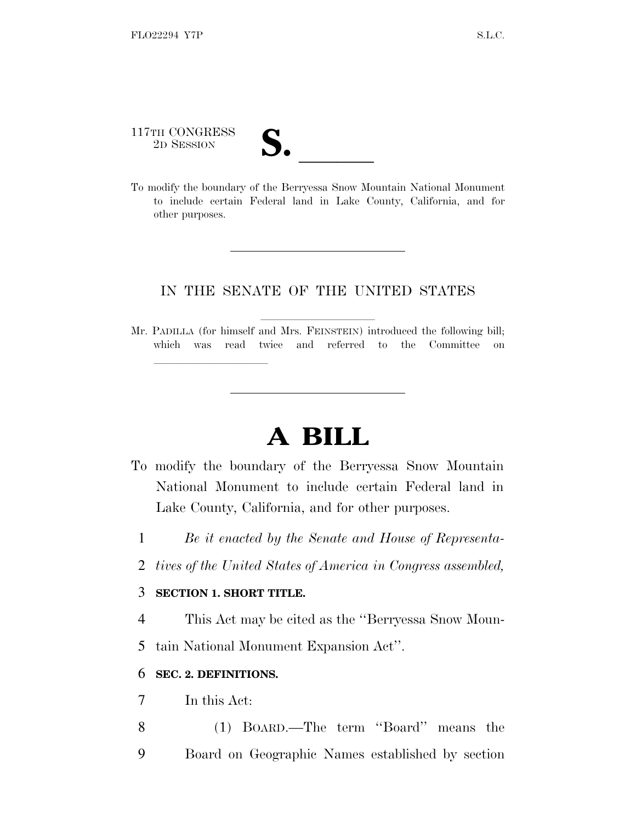# 117TH CONGRESS 117TH CONGRESS<br>
2D SESSION<br>
To modify the boundary of the Berryessa Snow Mountain National Monument

to include certain Federal land in Lake County, California, and for other purposes.

### IN THE SENATE OF THE UNITED STATES

Mr. PADILLA (for himself and Mrs. FEINSTEIN) introduced the following bill; which was read twice and referred to the Committee on

## **A BILL**

- To modify the boundary of the Berryessa Snow Mountain National Monument to include certain Federal land in Lake County, California, and for other purposes.
	- 1 *Be it enacted by the Senate and House of Representa-*
	- 2 *tives of the United States of America in Congress assembled,*

#### 3 **SECTION 1. SHORT TITLE.**

lland and a state of the state of the state of the state of the state of the state of the state of the state o

4 This Act may be cited as the ''Berryessa Snow Moun-

5 tain National Monument Expansion Act''.

#### 6 **SEC. 2. DEFINITIONS.**

- 7 In this Act:
- 8 (1) BOARD.—The term ''Board'' means the 9 Board on Geographic Names established by section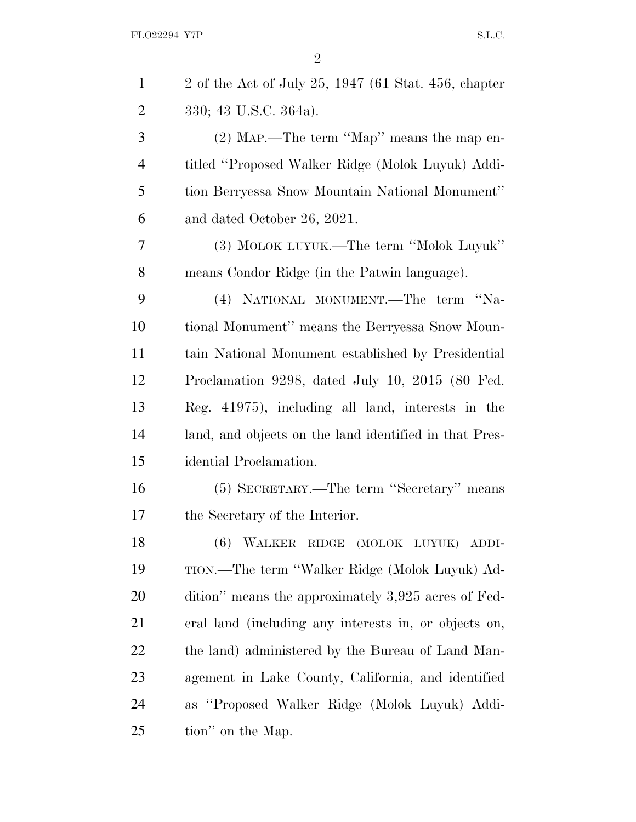| $\mathbf{1}$   | 2 of the Act of July 25, 1947 (61 Stat. 456, chapter   |
|----------------|--------------------------------------------------------|
| $\overline{2}$ | 330; 43 U.S.C. 364a).                                  |
| 3              | $(2)$ MAP.—The term "Map" means the map en-            |
| $\overline{4}$ | titled "Proposed Walker Ridge (Molok Luyuk) Addi-      |
| 5              | tion Berryessa Snow Mountain National Monument"        |
| 6              | and dated October 26, 2021.                            |
| 7              | (3) MOLOK LUYUK.—The term "Molok Luyuk"                |
| 8              | means Condor Ridge (in the Patwin language).           |
| 9              | (4) NATIONAL MONUMENT.—The term "Na-                   |
| 10             | tional Monument" means the Berryessa Snow Moun-        |
| 11             | tain National Monument established by Presidential     |
| 12             | Proclamation 9298, dated July 10, 2015 (80 Fed.        |
| 13             | Reg. 41975), including all land, interests in the      |
| 14             | land, and objects on the land identified in that Pres- |
| 15             | idential Proclamation.                                 |
| 16             | (5) SECRETARY.—The term "Secretary" means              |
| 17             | the Secretary of the Interior.                         |
| 18             | (6) WALKER RIDGE (MOLOK LUYUK)<br>ADDI-                |
| 19             | TION.—The term "Walker Ridge (Molok Luyuk) Ad-         |
| <b>20</b>      | dition" means the approximately 3,925 acres of Fed-    |
| 21             | eral land (including any interests in, or objects on,  |
| 22             | the land) administered by the Bureau of Land Man-      |
| 23             | agement in Lake County, California, and identified     |
| 24             | as "Proposed Walker Ridge (Molok Luyuk) Addi-          |
| 25             | tion" on the Map.                                      |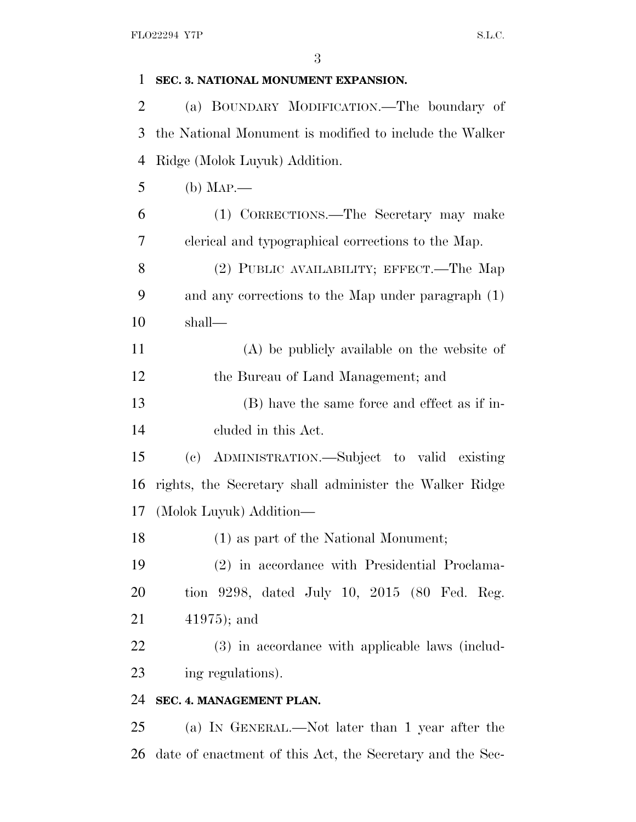| 1              | SEC. 3. NATIONAL MONUMENT EXPANSION.                      |
|----------------|-----------------------------------------------------------|
| $\overline{2}$ | (a) BOUNDARY MODIFICATION.—The boundary of                |
| 3              | the National Monument is modified to include the Walker   |
| 4              | Ridge (Molok Luyuk) Addition.                             |
| 5              | $(b)$ Map.—                                               |
| 6              | (1) CORRECTIONS.—The Secretary may make                   |
| 7              | clerical and typographical corrections to the Map.        |
| 8              | (2) PUBLIC AVAILABILITY; EFFECT.—The Map                  |
| 9              | and any corrections to the Map under paragraph (1)        |
| 10             | shall—                                                    |
| 11             | $(A)$ be publicly available on the website of             |
| 12             | the Bureau of Land Management; and                        |
| 13             | (B) have the same force and effect as if in-              |
| 14             | eluded in this Act.                                       |
| 15             | (c) ADMINISTRATION.—Subject to valid existing             |
| 16             | rights, the Secretary shall administer the Walker Ridge   |
| 17             | (Molok Luyuk) Addition—                                   |
| 18             | (1) as part of the National Monument;                     |
| 19             | (2) in accordance with Presidential Proclama-             |
| 20             | tion 9298, dated July 10, 2015 (80 Fed. Reg.              |
| 21             | $41975$ ; and                                             |
| 22             | (3) in accordance with applicable laws (includ-           |
| 23             | ing regulations).                                         |
| 24             | SEC. 4. MANAGEMENT PLAN.                                  |
| 25             | (a) IN GENERAL.—Not later than 1 year after the           |
| 26             | date of enactment of this Act, the Secretary and the Sec- |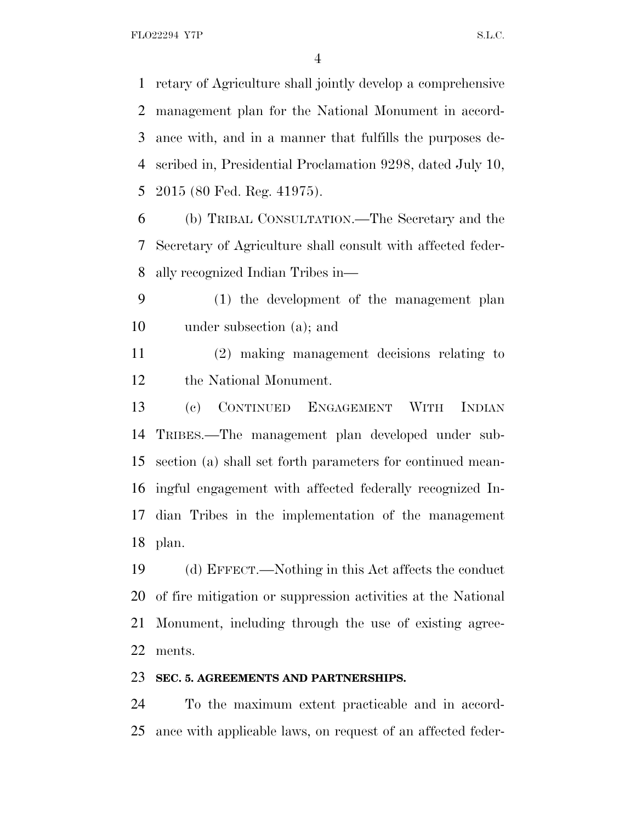FLO22294 Y7P S.L.C.

 retary of Agriculture shall jointly develop a comprehensive management plan for the National Monument in accord- ance with, and in a manner that fulfills the purposes de- scribed in, Presidential Proclamation 9298, dated July 10, 2015 (80 Fed. Reg. 41975).

 (b) TRIBAL CONSULTATION.—The Secretary and the Secretary of Agriculture shall consult with affected feder-ally recognized Indian Tribes in—

 (1) the development of the management plan under subsection (a); and

 (2) making management decisions relating to the National Monument.

 (c) CONTINUED ENGAGEMENT WITH INDIAN TRIBES.—The management plan developed under sub- section (a) shall set forth parameters for continued mean- ingful engagement with affected federally recognized In- dian Tribes in the implementation of the management plan.

 (d) EFFECT.—Nothing in this Act affects the conduct of fire mitigation or suppression activities at the National Monument, including through the use of existing agree-ments.

#### **SEC. 5. AGREEMENTS AND PARTNERSHIPS.**

 To the maximum extent practicable and in accord-ance with applicable laws, on request of an affected feder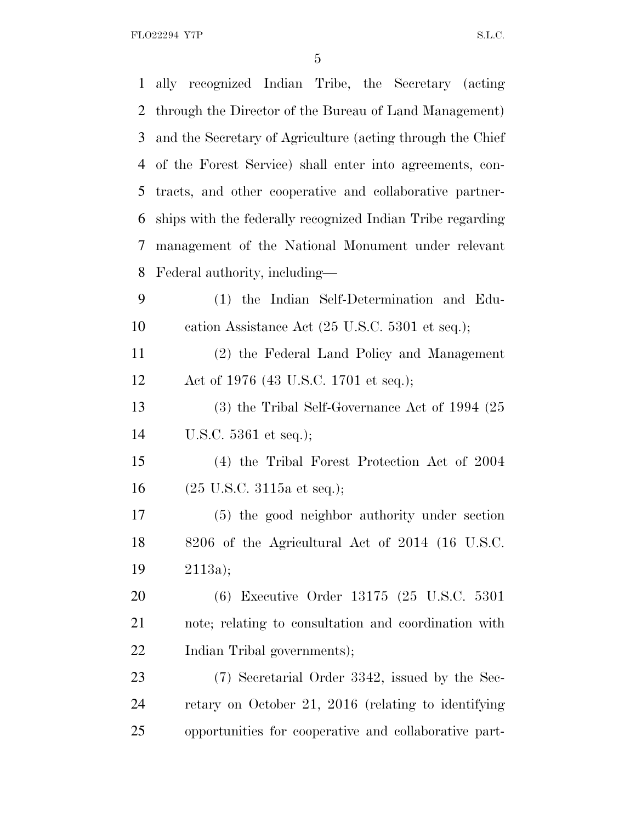FLO22294 Y7P S.L.C.

|                | 1 ally recognized Indian Tribe, the Secretary (acting              |
|----------------|--------------------------------------------------------------------|
| $\overline{2}$ | through the Director of the Bureau of Land Management)             |
| 3              | and the Secretary of Agriculture (acting through the Chief         |
| 4              | of the Forest Service) shall enter into agreements, con-           |
| 5              | tracts, and other cooperative and collaborative partner-           |
| 6              | ships with the federally recognized Indian Tribe regarding         |
| 7              | management of the National Monument under relevant                 |
| 8              | Federal authority, including—                                      |
| 9              | (1) the Indian Self-Determination and Edu-                         |
| 10             | cation Assistance Act $(25 \text{ U.S.C. } 5301 \text{ et seq.});$ |
| 11             | (2) the Federal Land Policy and Management                         |
| 12             | Act of 1976 (43 U.S.C. 1701 et seq.);                              |
| 13             | $(3)$ the Tribal Self-Governance Act of 1994 $(25)$                |
| 14             | U.S.C. $5361$ et seq.);                                            |
| 15             | (4) the Tribal Forest Protection Act of 2004                       |
| 16             | $(25 \text{ U.S.C. } 3115 \text{a et seq.});$                      |
| 17             | (5) the good neighbor authority under section                      |
| 18             | 8206 of the Agricultural Act of 2014 (16 U.S.C.                    |
| 19             | 2113a);                                                            |
| 20             | (6) Executive Order 13175 (25 U.S.C. 5301                          |
| 21             | note; relating to consultation and coordination with               |
| 22             | Indian Tribal governments);                                        |
| 23             | (7) Secretarial Order 3342, issued by the Sec-                     |
| 24             | retary on October 21, 2016 (relating to identifying                |
| 25             | opportunities for cooperative and collaborative part-              |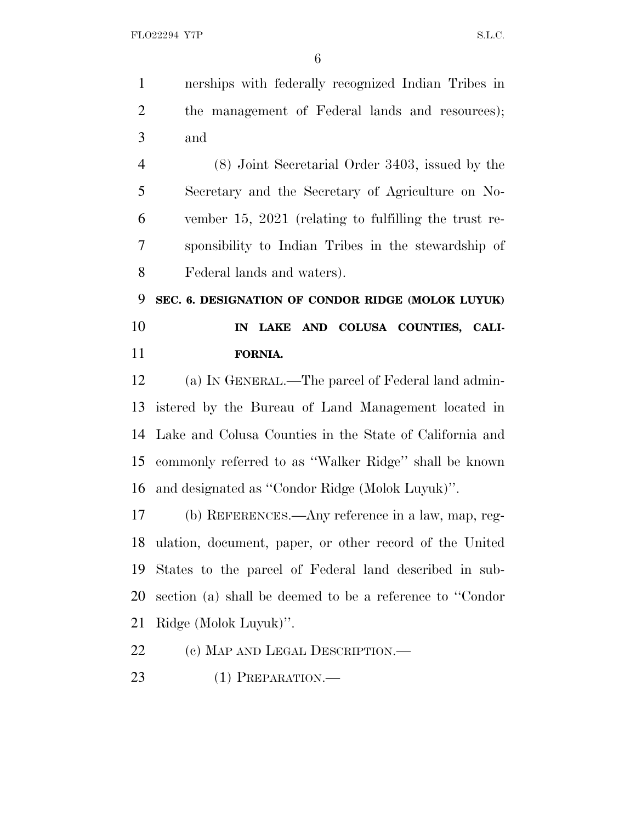nerships with federally recognized Indian Tribes in 2 the management of Federal lands and resources); and

 (8) Joint Secretarial Order 3403, issued by the Secretary and the Secretary of Agriculture on No- vember 15, 2021 (relating to fulfilling the trust re- sponsibility to Indian Tribes in the stewardship of Federal lands and waters).

 **SEC. 6. DESIGNATION OF CONDOR RIDGE (MOLOK LUYUK) IN LAKE AND COLUSA COUNTIES, CALI-FORNIA.**

 (a) I<sup>N</sup> GENERAL.—The parcel of Federal land admin- istered by the Bureau of Land Management located in Lake and Colusa Counties in the State of California and commonly referred to as ''Walker Ridge'' shall be known and designated as ''Condor Ridge (Molok Luyuk)''.

 (b) REFERENCES.—Any reference in a law, map, reg- ulation, document, paper, or other record of the United States to the parcel of Federal land described in sub- section (a) shall be deemed to be a reference to ''Condor Ridge (Molok Luyuk)''.

- 22 (c) MAP AND LEGAL DESCRIPTION.—
- 23 (1) PREPARATION.—